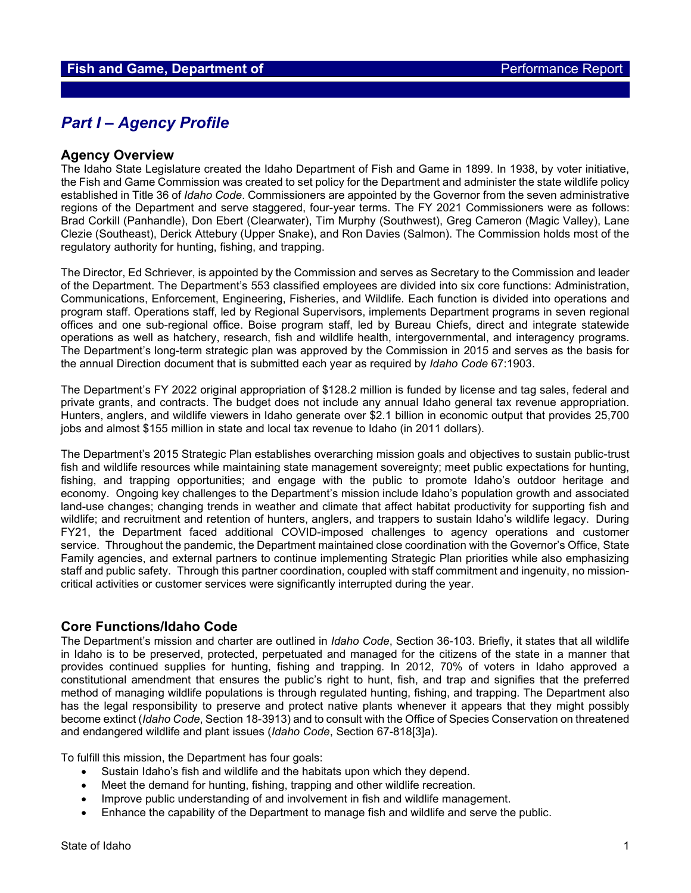## *Part I – Agency Profile*

#### **Agency Overview**

The Idaho State Legislature created the Idaho Department of Fish and Game in 1899. In 1938, by voter initiative, the Fish and Game Commission was created to set policy for the Department and administer the state wildlife policy established in Title 36 of *Idaho Code*. Commissioners are appointed by the Governor from the seven administrative regions of the Department and serve staggered, four-year terms. The FY 2021 Commissioners were as follows: Brad Corkill (Panhandle), Don Ebert (Clearwater), Tim Murphy (Southwest), Greg Cameron (Magic Valley), Lane Clezie (Southeast), Derick Attebury (Upper Snake), and Ron Davies (Salmon). The Commission holds most of the regulatory authority for hunting, fishing, and trapping.

The Director, Ed Schriever, is appointed by the Commission and serves as Secretary to the Commission and leader of the Department. The Department's 553 classified employees are divided into six core functions: Administration, Communications, Enforcement, Engineering, Fisheries, and Wildlife. Each function is divided into operations and program staff. Operations staff, led by Regional Supervisors, implements Department programs in seven regional offices and one sub-regional office. Boise program staff, led by Bureau Chiefs, direct and integrate statewide operations as well as hatchery, research, fish and wildlife health, intergovernmental, and interagency programs. The Department's long-term strategic plan was approved by the Commission in 2015 and serves as the basis for the annual Direction document that is submitted each year as required by *Idaho Code* 67:1903.

The Department's FY 2022 original appropriation of \$128.2 million is funded by license and tag sales, federal and private grants, and contracts. The budget does not include any annual Idaho general tax revenue appropriation. Hunters, anglers, and wildlife viewers in Idaho generate over \$2.1 billion in economic output that provides 25,700 jobs and almost \$155 million in state and local tax revenue to Idaho (in 2011 dollars).

The Department's 2015 Strategic Plan establishes overarching mission goals and objectives to sustain public-trust fish and wildlife resources while maintaining state management sovereignty; meet public expectations for hunting, fishing, and trapping opportunities; and engage with the public to promote Idaho's outdoor heritage and economy. Ongoing key challenges to the Department's mission include Idaho's population growth and associated land-use changes; changing trends in weather and climate that affect habitat productivity for supporting fish and wildlife; and recruitment and retention of hunters, anglers, and trappers to sustain Idaho's wildlife legacy. During FY21, the Department faced additional COVID-imposed challenges to agency operations and customer service. Throughout the pandemic, the Department maintained close coordination with the Governor's Office, State Family agencies, and external partners to continue implementing Strategic Plan priorities while also emphasizing staff and public safety. Through this partner coordination, coupled with staff commitment and ingenuity, no missioncritical activities or customer services were significantly interrupted during the year.

#### **Core Functions/Idaho Code**

The Department's mission and charter are outlined in *Idaho Code*, Section 36-103. Briefly, it states that all wildlife in Idaho is to be preserved, protected, perpetuated and managed for the citizens of the state in a manner that provides continued supplies for hunting, fishing and trapping. In 2012, 70% of voters in Idaho approved a constitutional amendment that ensures the public's right to hunt, fish, and trap and signifies that the preferred method of managing wildlife populations is through regulated hunting, fishing, and trapping. The Department also has the legal responsibility to preserve and protect native plants whenever it appears that they might possibly become extinct (*Idaho Code*, Section 18-3913) and to consult with the Office of Species Conservation on threatened and endangered wildlife and plant issues (*Idaho Code*, Section 67-818[3]a).

To fulfill this mission, the Department has four goals:

- Sustain Idaho's fish and wildlife and the habitats upon which they depend.
- Meet the demand for hunting, fishing, trapping and other wildlife recreation.
- Improve public understanding of and involvement in fish and wildlife management.
- Enhance the capability of the Department to manage fish and wildlife and serve the public.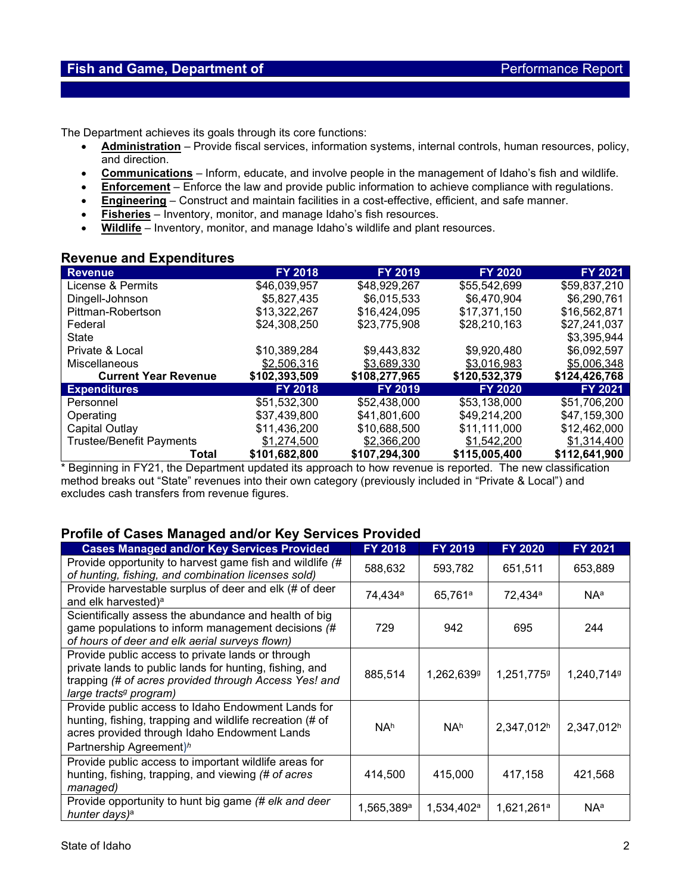The Department achieves its goals through its core functions:

- **Administration** Provide fiscal services, information systems, internal controls, human resources, policy, and direction.
- **Communications** Inform, educate, and involve people in the management of Idaho's fish and wildlife.
- **Enforcement** Enforce the law and provide public information to achieve compliance with regulations.
- **Engineering** Construct and maintain facilities in a cost-effective, efficient, and safe manner.
- **Fisheries** Inventory, monitor, and manage Idaho's fish resources.
- **Wildlife** Inventory, monitor, and manage Idaho's wildlife and plant resources.

#### **Revenue and Expenditures**

| <b>Revenue</b>                  | <b>FY 2018</b> | <b>FY 2019</b> | <b>FY 2020</b> | <b>FY 2021</b> |
|---------------------------------|----------------|----------------|----------------|----------------|
| License & Permits               | \$46,039,957   | \$48,929,267   | \$55,542,699   | \$59,837,210   |
| Dingell-Johnson                 | \$5,827,435    | \$6,015,533    | \$6,470,904    | \$6,290,761    |
| Pittman-Robertson               | \$13,322,267   | \$16,424,095   | \$17,371,150   | \$16,562,871   |
| Federal                         | \$24,308,250   | \$23,775,908   | \$28,210,163   | \$27.241.037   |
| State                           |                |                |                | \$3,395,944    |
| Private & Local                 | \$10,389,284   | \$9,443,832    | \$9,920,480    | \$6,092,597    |
| Miscellaneous                   | \$2,506,316    | \$3,689,330    | \$3,016,983    | \$5,006,348    |
| <b>Current Year Revenue</b>     | \$102,393,509  | \$108,277,965  | \$120,532,379  | \$124,426,768  |
| <b>Expenditures</b>             | <b>FY 2018</b> | <b>FY 2019</b> | <b>FY 2020</b> | <b>FY 2021</b> |
| Personnel                       | \$51,532,300   | \$52,438,000   | \$53,138,000   | \$51,706,200   |
| Operating                       | \$37,439,800   | \$41,801,600   | \$49,214,200   | \$47,159,300   |
| Capital Outlay                  | \$11,436,200   | \$10,688,500   | \$11,111,000   | \$12,462,000   |
| <b>Trustee/Benefit Payments</b> | \$1,274,500    | \$2,366,200    | \$1,542,200    | \$1,314,400    |
| Total                           | \$101,682,800  | \$107.294.300  | \$115,005,400  | \$112,641,900  |

\* Beginning in FY21, the Department updated its approach to how revenue is reported. The new classification method breaks out "State" revenues into their own category (previously included in "Private & Local") and excludes cash transfers from revenue figures.

## **Profile of Cases Managed and/or Key Services Provided**

| <b>Cases Managed and/or Key Services Provided</b>                                                                                                                                                           | <b>FY 2018</b>      | <b>FY 2019</b>         | <b>FY 2020</b>         | FY 2021                |
|-------------------------------------------------------------------------------------------------------------------------------------------------------------------------------------------------------------|---------------------|------------------------|------------------------|------------------------|
| Provide opportunity to harvest game fish and wildlife (#<br>of hunting, fishing, and combination licenses sold)                                                                                             | 588,632             | 593,782                | 651,511                | 653,889                |
| Provide harvestable surplus of deer and elk (# of deer<br>and elk harvested) <sup>a</sup>                                                                                                                   | 74,434 <sup>a</sup> | 65,761 <sup>a</sup>    | 72,434 <sup>a</sup>    | <b>NA</b> <sup>a</sup> |
| Scientifically assess the abundance and health of big<br>game populations to inform management decisions (#<br>of hours of deer and elk aerial surveys flown)                                               | 729                 | 942                    | 695                    | 244                    |
| Provide public access to private lands or through<br>private lands to public lands for hunting, fishing, and<br>trapping (# of acres provided through Access Yes! and<br>large tracts <sup>g</sup> program) | 885,514             | 1,262,6399             | 1,251,7759             | 1,240,7149             |
| Provide public access to Idaho Endowment Lands for<br>hunting, fishing, trapping and wildlife recreation (# of<br>acres provided through Idaho Endowment Lands<br>Partnership Agreement) <sup>h</sup>       | NA <sup>h</sup>     | NA <sup>h</sup>        | 2,347,012h             | 2,347,012h             |
| Provide public access to important wildlife areas for<br>hunting, fishing, trapping, and viewing (# of acres<br>managed)                                                                                    | 414,500             | 415,000                | 417,158                | 421,568                |
| Provide opportunity to hunt big game (# elk and deer<br>hunter days) <sup>a</sup>                                                                                                                           | $1,565,389$ a       | 1,534,402 <sup>a</sup> | 1,621,261 <sup>a</sup> | NAª                    |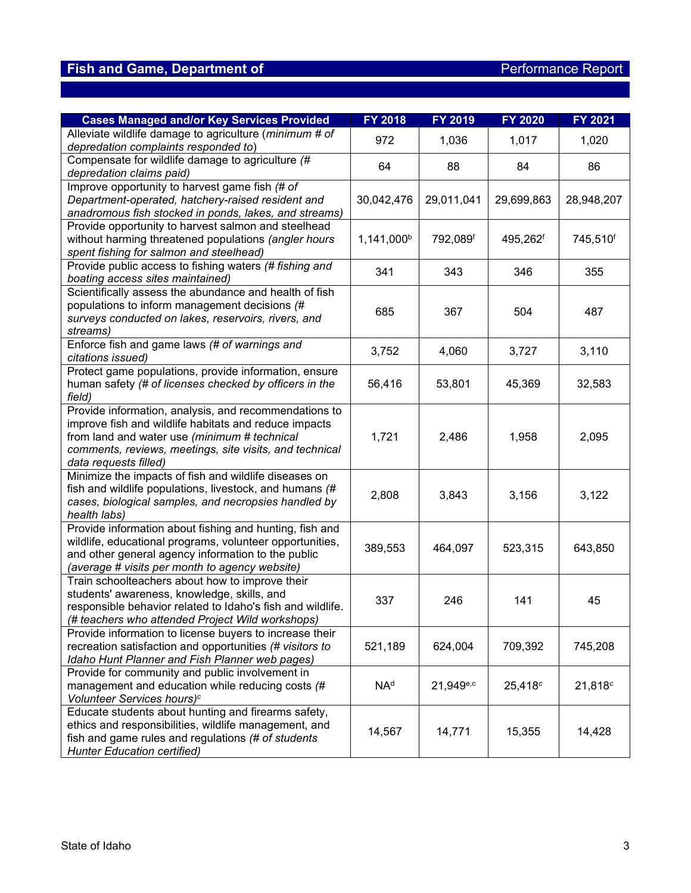| <b>Cases Managed and/or Key Services Provided</b>          | <b>FY 2018</b>         | FY 2019               | <b>FY 2020</b>      | FY 2021    |
|------------------------------------------------------------|------------------------|-----------------------|---------------------|------------|
| Alleviate wildlife damage to agriculture (minimum # of     | 972                    | 1,036                 | 1,017               | 1,020      |
| depredation complaints responded to)                       |                        |                       |                     |            |
| Compensate for wildlife damage to agriculture (#           | 64                     | 88                    | 84                  | 86         |
| depredation claims paid)                                   |                        |                       |                     |            |
| Improve opportunity to harvest game fish (# of             |                        |                       |                     |            |
| Department-operated, hatchery-raised resident and          | 30,042,476             | 29,011,041            | 29,699,863          | 28,948,207 |
| anadromous fish stocked in ponds, lakes, and streams)      |                        |                       |                     |            |
| Provide opportunity to harvest salmon and steelhead        |                        |                       |                     |            |
| without harming threatened populations (angler hours       | 1,141,000 <sup>b</sup> | 792,089f              | 495,262f            | 745,510f   |
| spent fishing for salmon and steelhead)                    |                        |                       |                     |            |
| Provide public access to fishing waters (# fishing and     | 341                    | 343                   | 346                 | 355        |
| boating access sites maintained)                           |                        |                       |                     |            |
| Scientifically assess the abundance and health of fish     |                        |                       |                     |            |
| populations to inform management decisions (#              | 685                    | 367                   | 504                 | 487        |
| surveys conducted on lakes, reservoirs, rivers, and        |                        |                       |                     |            |
| streams)                                                   |                        |                       |                     |            |
| Enforce fish and game laws (# of warnings and              | 3,752                  | 4,060                 | 3,727               | 3,110      |
| citations issued)                                          |                        |                       |                     |            |
| Protect game populations, provide information, ensure      |                        |                       |                     |            |
| human safety (# of licenses checked by officers in the     | 56,416                 | 53,801                | 45,369              | 32,583     |
| field)                                                     |                        |                       |                     |            |
| Provide information, analysis, and recommendations to      |                        |                       |                     |            |
| improve fish and wildlife habitats and reduce impacts      |                        |                       |                     |            |
| from land and water use (minimum # technical               | 1,721                  | 2,486                 | 1,958               | 2,095      |
| comments, reviews, meetings, site visits, and technical    |                        |                       |                     |            |
| data requests filled)                                      |                        |                       |                     |            |
| Minimize the impacts of fish and wildlife diseases on      |                        |                       |                     |            |
| fish and wildlife populations, livestock, and humans (#    | 2,808                  | 3,843                 | 3,156               | 3,122      |
| cases, biological samples, and necropsies handled by       |                        |                       |                     |            |
| health labs)                                               |                        |                       |                     |            |
| Provide information about fishing and hunting, fish and    |                        |                       |                     |            |
| wildlife, educational programs, volunteer opportunities,   | 389,553                | 464,097               | 523,315             | 643,850    |
| and other general agency information to the public         |                        |                       |                     |            |
| (average # visits per month to agency website)             |                        |                       |                     |            |
| Train schoolteachers about how to improve their            |                        |                       |                     |            |
| students' awareness, knowledge, skills, and                | 337                    | 246                   | 141                 | 45         |
| responsible behavior related to Idaho's fish and wildlife. |                        |                       |                     |            |
| (# teachers who attended Project Wild workshops)           |                        |                       |                     |            |
| Provide information to license buyers to increase their    |                        |                       |                     |            |
| recreation satisfaction and opportunities (# visitors to   | 521,189                | 624,004               | 709,392             | 745,208    |
| Idaho Hunt Planner and Fish Planner web pages)             |                        |                       |                     |            |
| Provide for community and public involvement in            |                        |                       |                     |            |
| management and education while reducing costs (#           | NA <sup>d</sup>        | 21,949 <sup>e,c</sup> | 25,418 <sup>c</sup> | 21,818c    |
| Volunteer Services hours) <sup>c</sup>                     |                        |                       |                     |            |
| Educate students about hunting and firearms safety,        |                        |                       |                     |            |
| ethics and responsibilities, wildlife management, and      | 14,567                 | 14,771                | 15,355              | 14,428     |
| fish and game rules and regulations (# of students         |                        |                       |                     |            |
| <b>Hunter Education certified)</b>                         |                        |                       |                     |            |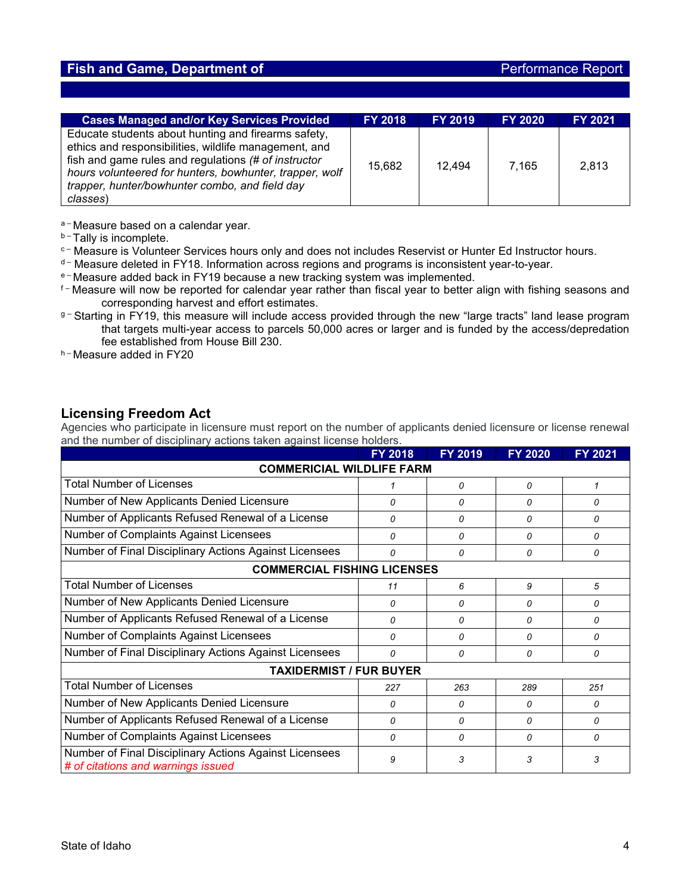## **Fish and Game, Department of** *Performance Report* **Report**

| <b>Cases Managed and/or Key Services Provided</b>                                                                                                                                                                                                                                             | <b>FY 2018</b> | <b>FY 2019</b> | <b>FY 2020</b> | <b>FY 2021</b> |
|-----------------------------------------------------------------------------------------------------------------------------------------------------------------------------------------------------------------------------------------------------------------------------------------------|----------------|----------------|----------------|----------------|
| Educate students about hunting and firearms safety,<br>ethics and responsibilities, wildlife management, and<br>fish and game rules and regulations (# of instructor<br>hours volunteered for hunters, bowhunter, trapper, wolf<br>trapper, hunter/bowhunter combo, and field day<br>classes) | 15,682         | 12.494         | 7.165          | 2,813          |

a-Measure based on a calendar year.

- **b-Tally is incomplete.**
- c- Measure is Volunteer Services hours only and does not includes Reservist or Hunter Ed Instructor hours.
- $d M$ easure deleted in FY18. Information across regions and programs is inconsistent year-to-year.
- <sup>e</sup> Measure added back in FY19 because a new tracking system was implemented.
- f-Measure will now be reported for calendar year rather than fiscal year to better align with fishing seasons and corresponding harvest and effort estimates.
- g-Starting in FY19, this measure will include access provided through the new "large tracts" land lease program that targets multi-year access to parcels 50,000 acres or larger and is funded by the access/depredation fee established from House Bill 230.
- h Measure added in FY20

### **Licensing Freedom Act**

Agencies who participate in licensure must report on the number of applicants denied licensure or license renewal and the number of disciplinary actions taken against license holders.

|                                                                                              | <b>FY 2018</b> | <b>FY 2019</b> | <b>FY 2020</b> | <b>FY 2021</b> |  |  |  |  |
|----------------------------------------------------------------------------------------------|----------------|----------------|----------------|----------------|--|--|--|--|
| <b>COMMERICIAL WILDLIFE FARM</b>                                                             |                |                |                |                |  |  |  |  |
| <b>Total Number of Licenses</b>                                                              |                | 0              | 0              | 1              |  |  |  |  |
| Number of New Applicants Denied Licensure                                                    | 0              | 0              | 0              | $\Omega$       |  |  |  |  |
| Number of Applicants Refused Renewal of a License                                            | 0              | 0              | 0              | 0              |  |  |  |  |
| Number of Complaints Against Licensees                                                       | 0              | 0              | $\Omega$       | 0              |  |  |  |  |
| Number of Final Disciplinary Actions Against Licensees                                       | 0              | 0              | $\Omega$       | 0              |  |  |  |  |
| <b>COMMERCIAL FISHING LICENSES</b>                                                           |                |                |                |                |  |  |  |  |
| <b>Total Number of Licenses</b>                                                              | 11             | 6              | 9              | 5              |  |  |  |  |
| Number of New Applicants Denied Licensure                                                    | 0              | 0              | 0              | 0              |  |  |  |  |
| Number of Applicants Refused Renewal of a License                                            | 0              | 0              | $\Omega$       | 0              |  |  |  |  |
| Number of Complaints Against Licensees                                                       | 0              | 0              | 0              | 0              |  |  |  |  |
| Number of Final Disciplinary Actions Against Licensees                                       | 0              | 0              | 0              | 0              |  |  |  |  |
| <b>TAXIDERMIST / FUR BUYER</b>                                                               |                |                |                |                |  |  |  |  |
| <b>Total Number of Licenses</b>                                                              | 227            | 263            | 289            | 251            |  |  |  |  |
| Number of New Applicants Denied Licensure                                                    | 0              | 0              | 0              | 0              |  |  |  |  |
| Number of Applicants Refused Renewal of a License                                            | 0              | 0              | 0              | 0              |  |  |  |  |
| Number of Complaints Against Licensees                                                       | 0              | 0              | $\Omega$       | $\Omega$       |  |  |  |  |
| Number of Final Disciplinary Actions Against Licensees<br># of citations and warnings issued | 9              | 3              | 3              | 3              |  |  |  |  |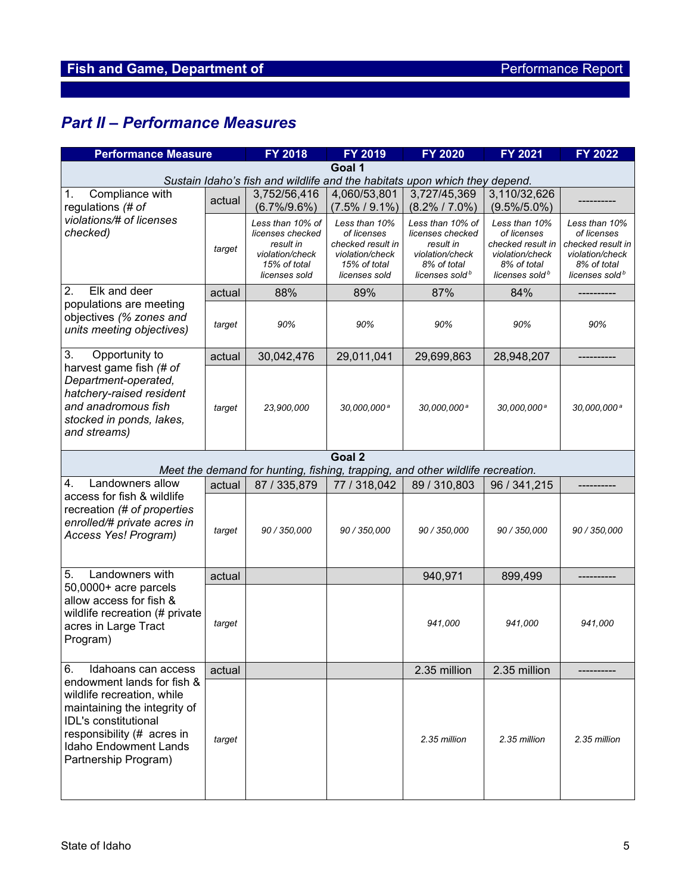# *Part II – Performance Measures*

| <b>Performance Measure</b>                                                                                                                                                                             |        | FY 2018                                                                                               | FY 2019                                                                                               | <b>FY 2020</b>                                                                                                    | <b>FY 2021</b>                                                                                                    | <b>FY 2022</b>                                                                                                    |  |
|--------------------------------------------------------------------------------------------------------------------------------------------------------------------------------------------------------|--------|-------------------------------------------------------------------------------------------------------|-------------------------------------------------------------------------------------------------------|-------------------------------------------------------------------------------------------------------------------|-------------------------------------------------------------------------------------------------------------------|-------------------------------------------------------------------------------------------------------------------|--|
| Goal 1<br>Sustain Idaho's fish and wildlife and the habitats upon which they depend.                                                                                                                   |        |                                                                                                       |                                                                                                       |                                                                                                                   |                                                                                                                   |                                                                                                                   |  |
|                                                                                                                                                                                                        |        |                                                                                                       |                                                                                                       | 3,727/45,369                                                                                                      |                                                                                                                   |                                                                                                                   |  |
| Compliance with<br>1.<br>regulations (# of                                                                                                                                                             | actual | 3,752/56,416<br>$(6.7\%/9.6\%)$                                                                       | 4,060/53,801<br>$(7.5\% / 9.1\%)$                                                                     | $(8.2\% / 7.0\%)$                                                                                                 | 3,110/32,626<br>$(9.5\%/5.0\%)$                                                                                   |                                                                                                                   |  |
| violations/# of licenses<br>checked)                                                                                                                                                                   | target | Less than 10% of<br>licenses checked<br>result in<br>violation/check<br>15% of total<br>licenses sold | Less than 10%<br>of licenses<br>checked result in<br>violation/check<br>15% of total<br>licenses sold | Less than 10% of<br>licenses checked<br>result in<br>violation/check<br>8% of total<br>licenses sold <sup>b</sup> | Less than 10%<br>of licenses<br>checked result in<br>violation/check<br>8% of total<br>licenses sold <sup>b</sup> | Less than 10%<br>of licenses<br>checked result in<br>violation/check<br>8% of total<br>licenses sold <sup>b</sup> |  |
| 2.<br>Elk and deer                                                                                                                                                                                     | actual | 88%                                                                                                   | 89%                                                                                                   | 87%                                                                                                               | 84%                                                                                                               |                                                                                                                   |  |
| populations are meeting<br>objectives (% zones and<br>units meeting objectives)                                                                                                                        | target | 90%                                                                                                   | 90%                                                                                                   | 90%                                                                                                               | 90%                                                                                                               | 90%                                                                                                               |  |
| 3.<br>Opportunity to                                                                                                                                                                                   | actual | 30,042,476                                                                                            | 29,011,041                                                                                            | 29,699,863                                                                                                        | 28,948,207                                                                                                        |                                                                                                                   |  |
| harvest game fish (# of<br>Department-operated,<br>hatchery-raised resident<br>and anadromous fish<br>stocked in ponds, lakes,<br>and streams)                                                         | target | 23,900,000                                                                                            | 30,000,000 <sup>a</sup>                                                                               | 30,000,000 <sup>a</sup>                                                                                           | 30,000,000 <sup>a</sup>                                                                                           | 30,000,000 <sup>a</sup>                                                                                           |  |
|                                                                                                                                                                                                        |        |                                                                                                       | Goal 2                                                                                                |                                                                                                                   |                                                                                                                   |                                                                                                                   |  |
|                                                                                                                                                                                                        |        |                                                                                                       |                                                                                                       | Meet the demand for hunting, fishing, trapping, and other wildlife recreation.                                    |                                                                                                                   |                                                                                                                   |  |
| Landowners allow<br>$\mathbf{4}$ .                                                                                                                                                                     | actual | 87 / 335,879                                                                                          | 77 / 318,042                                                                                          | 89 / 310,803                                                                                                      | 96 / 341,215                                                                                                      |                                                                                                                   |  |
| access for fish & wildlife<br>recreation (# of properties<br>enrolled/# private acres in<br>Access Yes! Program)                                                                                       | target | 90 / 350,000                                                                                          | 90 / 350,000                                                                                          | 90 / 350,000                                                                                                      | 90 / 350,000                                                                                                      | 90 / 350,000                                                                                                      |  |
| Landowners with<br>5.                                                                                                                                                                                  | actual |                                                                                                       |                                                                                                       | 940,971                                                                                                           | 899,499                                                                                                           |                                                                                                                   |  |
| 50,0000+ acre parcels<br>allow access for fish &<br>wildlife recreation (# private<br>acres in Large Tract<br>Program)                                                                                 | target |                                                                                                       |                                                                                                       | 941,000                                                                                                           | 941.000                                                                                                           | 941.000                                                                                                           |  |
| Idahoans can access<br>6.                                                                                                                                                                              | actual |                                                                                                       |                                                                                                       | 2.35 million                                                                                                      | 2.35 million                                                                                                      |                                                                                                                   |  |
| endowment lands for fish &<br>wildlife recreation, while<br>maintaining the integrity of<br>IDL's constitutional<br>responsibility (# acres in<br><b>Idaho Endowment Lands</b><br>Partnership Program) | target |                                                                                                       |                                                                                                       | 2.35 million                                                                                                      | 2.35 million                                                                                                      | 2.35 million                                                                                                      |  |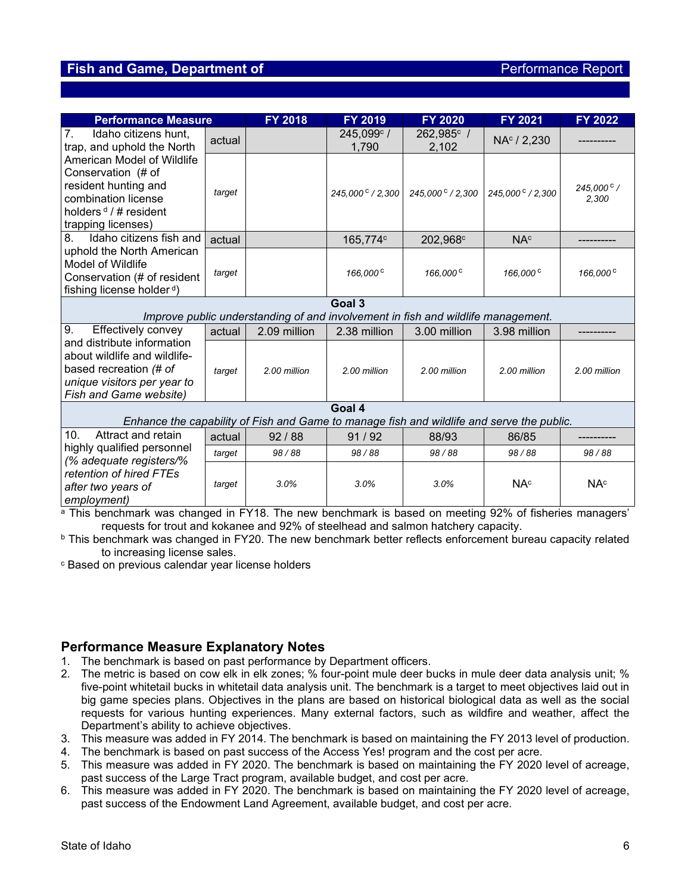#### **Fish and Game, Department of** *Performance Report* **Report of** *Performance Report*

| <b>Performance Measure</b>                                                                                                                        |        | <b>FY 2018</b> | FY 2019                   | <b>FY 2020</b>                                                                   | <b>FY 2021</b>          | <b>FY 2022</b>        |  |
|---------------------------------------------------------------------------------------------------------------------------------------------------|--------|----------------|---------------------------|----------------------------------------------------------------------------------|-------------------------|-----------------------|--|
| 7.<br>Idaho citizens hunt,<br>trap, and uphold the North                                                                                          | actual |                | 245,099°/<br>1,790        | 262,985°/<br>2,102                                                               | NA <sup>c</sup> / 2,230 |                       |  |
| American Model of Wildlife<br>Conservation (# of<br>resident hunting and<br>combination license<br>holders $d / H$ resident<br>trapping licenses) | target |                | 245,000 $\degree$ / 2,300 | 245,000 $\degree$ / 2,300                                                        | 245,000 ° / 2,300       | 245,000 °/<br>2,300   |  |
| Idaho citizens fish and<br>8.                                                                                                                     | actual |                | 165,774c                  | 202,968 <sup>c</sup>                                                             | NA <sup>c</sup>         |                       |  |
| uphold the North American<br><b>Model of Wildlife</b><br>Conservation (# of resident<br>fishing license holder <sup>d</sup> )                     | target |                | 166,000 <sup>c</sup>      | 166,000 <sup>c</sup>                                                             | 166,000 <sup>c</sup>    | 166,000 <sup>c</sup>  |  |
|                                                                                                                                                   |        |                | Goal 3                    | Improve public understanding of and involvement in fish and wildlife management. |                         |                       |  |
| Effectively convey<br>9.                                                                                                                          | actual | 2.09 million   | 2.38 million              | 3.00 million                                                                     | 3.98 million            |                       |  |
| and distribute information<br>about wildlife and wildlife-<br>based recreation (# of<br>unique visitors per year to<br>Fish and Game website)     | target | 2.00 million   | 2.00 million              | 2.00 million                                                                     | 2.00 million            | 2.00 million          |  |
| Goal 4                                                                                                                                            |        |                |                           |                                                                                  |                         |                       |  |
| Enhance the capability of Fish and Game to manage fish and wildlife and serve the public.                                                         |        |                |                           |                                                                                  |                         |                       |  |
| Attract and retain<br>10.<br>highly qualified personnel                                                                                           | actual | 92/88          | 91/92                     | 88/93                                                                            | 86/85                   |                       |  |
| (% adequate registers/%                                                                                                                           | target | 98/88          | 98/88                     | 98/88                                                                            | 98/88                   | 98/88                 |  |
| retention of hired FTEs<br>after two years of<br>employment)                                                                                      | target | 3.0%           | 3.0%                      | 3.0%                                                                             | <b>NA<sup>c</sup></b>   | <b>NA<sup>c</sup></b> |  |

a This benchmark was changed in FY18. The new benchmark is based on meeting 92% of fisheries managers' requests for trout and kokanee and 92% of steelhead and salmon hatchery capacity.

**b** This benchmark was changed in FY20. The new benchmark better reflects enforcement bureau capacity related to increasing license sales.

<sup>c</sup> Based on previous calendar year license holders

#### **Performance Measure Explanatory Notes**

- 1. The benchmark is based on past performance by Department officers.
- 2. The metric is based on cow elk in elk zones; % four-point mule deer bucks in mule deer data analysis unit; % five-point whitetail bucks in whitetail data analysis unit. The benchmark is a target to meet objectives laid out in big game species plans. Objectives in the plans are based on historical biological data as well as the social requests for various hunting experiences. Many external factors, such as wildfire and weather, affect the Department's ability to achieve objectives.
- 3. This measure was added in FY 2014. The benchmark is based on maintaining the FY 2013 level of production.
- 4. The benchmark is based on past success of the Access Yes! program and the cost per acre.
- 5. This measure was added in FY 2020. The benchmark is based on maintaining the FY 2020 level of acreage, past success of the Large Tract program, available budget, and cost per acre.
- 6. This measure was added in FY 2020. The benchmark is based on maintaining the FY 2020 level of acreage, past success of the Endowment Land Agreement, available budget, and cost per acre.